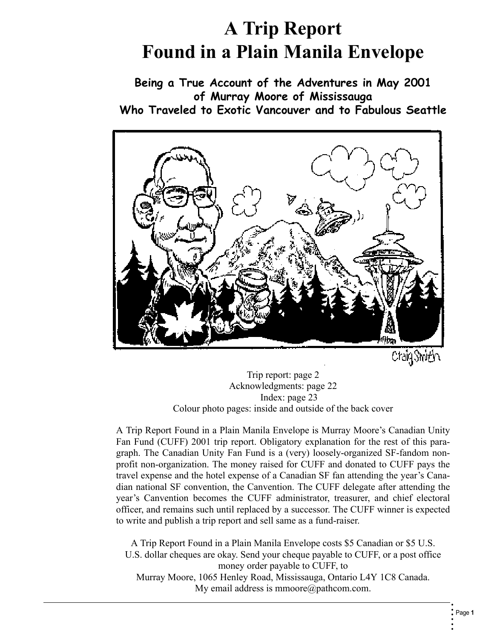# **A Trip Report Found in a Plain Manila Envelope**

**Being a True Account of the Adventures in May 2001 of Murray Moore of Mississauga Who Traveled to Exotic Vancouver and to Fabulous Seattle**



CraigShith

<span id="page-0-1"></span>Trip report: page [2](#page-1-0) Acknowledgments: page [22](#page-21-0) Index: page 23 Colour photo pages: inside and outside of the back cover

<span id="page-0-0"></span>A Trip Report Found in a Plain Manila Envelope is Murray Moore's Canadian Unity Fan Fund (CUFF) 2001 trip report. Obligatory explanation for the rest of this paragraph. The Canadian Unity Fan Fund is a (very) loosely-organized SF-fandom nonprofit non-organization. The money raised for CUFF and donated to CUFF pays the travel expense and the hotel expense of a Canadian SF fan attending the year's Canadian national SF convention, the Canvention. The CUFF delegate after attending the year's Canvention becomes the CUFF administrator, treasurer, and chief electoral officer, and remains such until replaced by a successor. The CUFF winner is expected to write and publish a trip report and sell same as a fund-raiser.

A Trip Report Found in a Plain Manila Envelope costs \$5 Canadian or \$5 U.S. U.S. dollar cheques are okay. Send your cheque payable to CUFF, or a post office money order payable to CUFF, to Murray Moore, 1065 Henley Road, Mississauga, Ontario L4Y 1C8 Canada. My email address is mmoore@pathcom.com.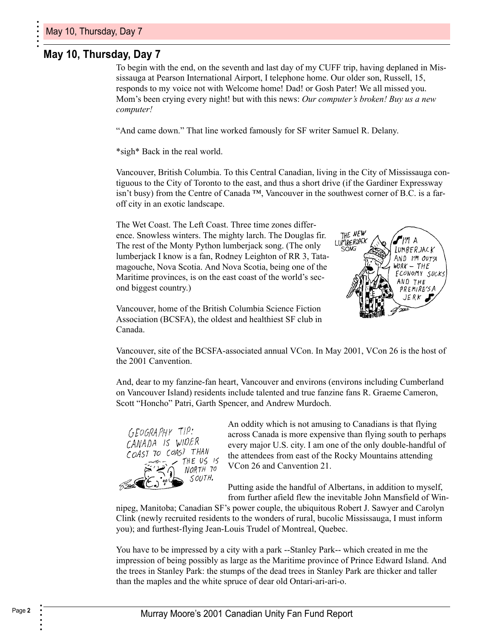### <span id="page-1-0"></span>**May 10, Thursday, Day 7**

To begin with the end, on the seventh and last day of my CUFF trip, having deplaned in Mississauga at Pearson International Airport, I telephone home. Our older son, Russell, 15, responds to my voice not with Welcome home! Dad! or Gosh Pater! We all missed you. Mom's been crying every night! but with this news: *Our computer's broken! Buy us a new computer!*

"And came down." That line worked famously for SF writer Samuel R. Delany.

\*sigh\* Back in the real world.

Vancouver, British Columbia. To this Central Canadian, living in the City of Mississauga contiguous to the City of Toronto to the east, and thus a short drive (if the Gardiner Expressway isn't busy) from the Centre of Canada  $^{TM}$ , Vancouver in the southwest corner of B.C. is a faroff city in an exotic landscape.

The Wet Coast. The Left Coast. Three time zones difference. Snowless winters. The mighty larch. The Douglas fir. The rest of the Monty Python lumberjack song. (The only lumberjack I know is a fan, Rodney Leighton of RR 3, Tatamagouche, Nova Scotia. And Nova Scotia, being one of the Maritime provinces, is on the east coast of the world's second biggest country.)

<span id="page-1-8"></span><span id="page-1-6"></span><span id="page-1-5"></span><span id="page-1-3"></span>

<span id="page-1-2"></span><span id="page-1-1"></span>Vancouver, home of the British Columbia Science Fiction Association (BCSFA), the oldest and healthiest SF club in Canada.

Vancouver, site of the BCSFA-associated annual VCon. In May 2001, VCon 26 is the host of the 2001 Canvention.

<span id="page-1-10"></span>And, dear to my fanzine-fan heart, Vancouver and environs (environs including Cumberland on Vancouver Island) residents include talented and true fanzine fans R. Graeme Cameron, Scott "Honcho" Patri, Garth Spencer, and Andrew Murdoch.



<span id="page-1-12"></span><span id="page-1-9"></span>An oddity which is not amusing to Canadians is that flying across Canada is more expensive than flying south to perhaps every major U.S. city. I am one of the only double-handful of the attendees from east of the Rocky Mountains attending VCon 26 and Canvention 21.

<span id="page-1-14"></span><span id="page-1-13"></span><span id="page-1-11"></span><span id="page-1-7"></span>Putting aside the handful of Albertans, in addition to myself, from further afield flew the inevitable John Mansfield of Win-

<span id="page-1-4"></span>nipeg, Manitoba; Canadian SF's power couple, the ubiquitous Robert J. Sawyer and Carolyn Clink (newly recruited residents to the wonders of rural, bucolic Mississauga, I must inform you); and furthest-flying Jean-Louis Trudel of Montreal, Quebec.

You have to be impressed by a city with a park --Stanley Park-- which created in me the impression of being possibly as large as the Maritime province of Prince Edward Island. And the trees in Stanley Park: the stumps of the dead trees in Stanley Park are thicker and taller than the maples and the white spruce of dear old Ontari-ari-ari-o.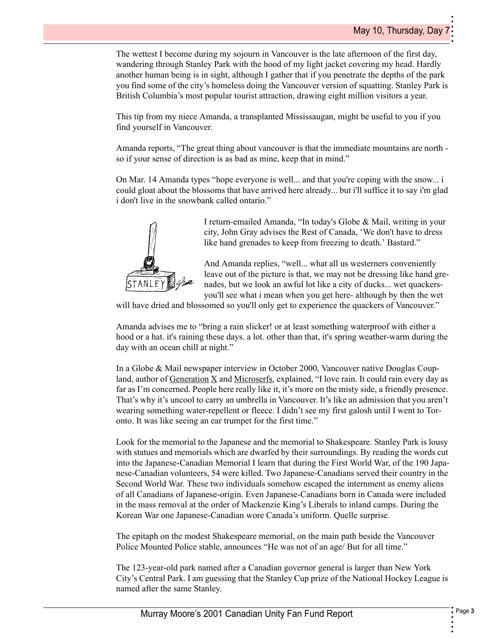The wettest I become during my sojourn in Vancouver is the late afternoon of the first day, wandering through Stanley Park with the hood of my light jacket covering my head. Hardly another human being is in sight, although I gather that if you penetrate the depths of the park you find some of the city's homeless doing the Vancouver version of squatting. Stanley Park is British Columbia's most popular tourist attraction, drawing eight million visitors a year.

This tip from my niece Amanda, a transplanted Mississaugan, might be useful to you if you find yourself in Vancouver.

Amanda reports, "The great thing about vancouver is that the immediate mountains are north so if your sense of direction is as bad as mine, keep that in mind."

On Mar. 14 Amanda types "hope everyone is well... and that you're coping with the snow... i could gloat about the blossoms that have arrived here already... but i'll suffice it to say i'm glad i don't live in the snowbank called ontario."



I return-emailed Amanda, "In today's Globe & Mail, writing in your city, John Gray advises the Rest of Canada, 'We don't have to dress like hand grenades to keep from freezing to death.' Bastard."

<span id="page-2-2"></span><span id="page-2-1"></span>And Amanda replies, "well... what all us westerners conveniently leave out of the picture is that, we may not be dressing like hand grenades, but we look an awful lot like a city of ducks... wet quackersyou'll see what i mean when you get here- although by then the wet

will have dried and blossomed so you'll only get to experience the quackers of Vancouver."

Amanda advises me to "bring a rain slicker! or at least something waterproof with either a hood or a hat. it's raining these days. a lot. other than that, it's spring weather-warm during the day with an ocean chill at night."

<span id="page-2-0"></span>In a Globe & Mail newspaper interview in October 2000, Vancouver native Douglas Coupland, author of Generation  $X$  and Microserfs, explained, "I love rain. It could rain every day as far as I'm concerned. People here really like it, it's more on the misty side, a friendly presence. That's why it's uncool to carry an umbrella in Vancouver. It's like an admission that you aren't wearing something water-repellent or fleece. I didn't see my first galosh until I went to Toronto. It was like seeing an ear trumpet for the first time."

<span id="page-2-5"></span><span id="page-2-4"></span>Look for the memorial to the Japanese and the memorial to Shakespeare. Stanley Park is lousy with statues and memorials which are dwarfed by their surroundings. By reading the words cut into the Japanese-Canadian Memorial I learn that during the First World War, of the 190 Japanese-Canadian volunteers, 54 were killed. Two Japanese-Canadians served their country in the Second World War. These two individuals somehow escaped the internment as enemy aliens of all Canadians of Japanese-origin. Even Japanese-Canadians born in Canada were included in the mass removal at the order of Mackenzie King's Liberals to inland camps. During the Korean War one Japanese-Canadian wore Canada's uniform. Quelle surprise.

<span id="page-2-3"></span>The epitaph on the modest Shakespeare memorial, on the main path beside the Vancouver Police Mounted Police stable, announces "He was not of an age/ But for all time."

The 123-year-old park named after a Canadian governor general is larger than New York City's Central Park. I am guessing that the Stanley Cup prize of the National Hockey League is named after the same Stanley.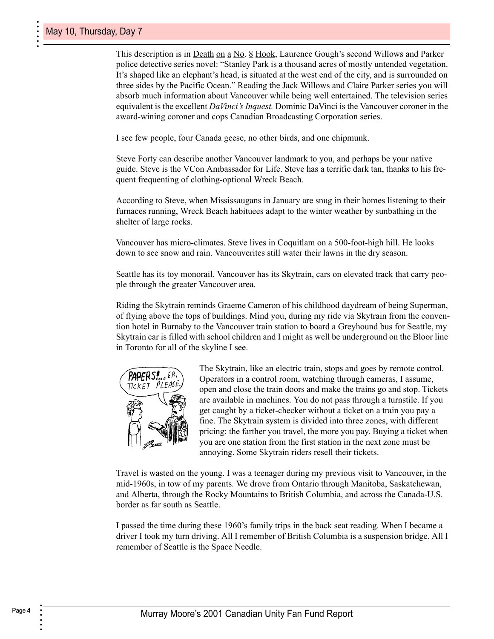<span id="page-3-11"></span><span id="page-3-9"></span><span id="page-3-5"></span><span id="page-3-4"></span><span id="page-3-0"></span>This description is in <u>Death on a No</u>. 8 Hook, Laurence Gough's second Willows and Parker police detective series novel: "Stanley Park is a thousand acres of mostly untended vegetation. It's shaped like an elephant's head, is situated at the west end of the city, and is surrounded on three sides by the Pacific Ocean." Reading the Jack Willows and Claire Parker series you will absorb much information about Vancouver while being well entertained. The television series equivalent is the excellent *DaVinci's Inquest.* Dominic DaVinci is the Vancouver coroner in the award-wining coroner and cops Canadian Broadcasting Corporation series.

<span id="page-3-8"></span><span id="page-3-7"></span>I see few people, four Canada geese, no other birds, and one chipmunk.

<span id="page-3-10"></span><span id="page-3-3"></span>Steve Forty can describe another Vancouver landmark to you, and perhaps be your native guide. Steve is the VCon Ambassador for Life. Steve has a terrific dark tan, thanks to his frequent frequenting of clothing-optional Wreck Beach.

According to Steve, when Mississaugans in January are snug in their homes listening to their furnaces running, Wreck Beach habituees adapt to the winter weather by sunbathing in the shelter of large rocks.

Vancouver has micro-climates. Steve lives in Coquitlam on a 500-foot-high hill. He looks down to see snow and rain. Vancouverites still water their lawns in the dry season.

Seattle has its toy monorail. Vancouver has its Skytrain, cars on elevated track that carry people through the greater Vancouver area.

Riding the Skytrain reminds Graeme Cameron of his childhood daydream of being Superman, of flying above the tops of buildings. Mind you, during my ride via Skytrain from the convention hotel in Burnaby to the Vancouver train station to board a Greyhound bus for Seattle, my Skytrain car is filled with school children and I might as well be underground on the Bloor line in Toronto for all of the skyline I see.



<span id="page-3-6"></span><span id="page-3-2"></span><span id="page-3-1"></span>The Skytrain, like an electric train, stops and goes by remote control. Operators in a control room, watching through cameras, I assume, open and close the train doors and make the trains go and stop. Tickets are available in machines. You do not pass through a turnstile. If you get caught by a ticket-checker without a ticket on a train you pay a fine. The Skytrain system is divided into three zones, with different pricing: the farther you travel, the more you pay. Buying a ticket when you are one station from the first station in the next zone must be annoying. Some Skytrain riders resell their tickets.

Travel is wasted on the young. I was a teenager during my previous visit to Vancouver, in the mid-1960s, in tow of my parents. We drove from Ontario through Manitoba, Saskatchewan, and Alberta, through the Rocky Mountains to British Columbia, and across the Canada-U.S. border as far south as Seattle.

I passed the time during these 1960's family trips in the back seat reading. When I became a driver I took my turn driving. All I remember of British Columbia is a suspension bridge. All I remember of Seattle is the Space Needle.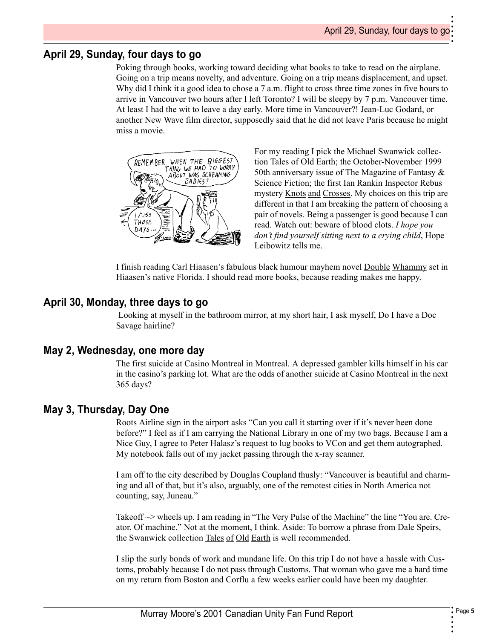•

<span id="page-4-3"></span>•

### **April 29, Sunday, four days to go**

Poking through books, working toward deciding what books to take to read on the airplane. Going on a trip means novelty, and adventure. Going on a trip means displacement, and upset. Why did I think it a good idea to chose a 7 a.m. flight to cross three time zones in five hours to arrive in Vancouver two hours after I left Toronto? I will be sleepy by 7 p.m. Vancouver time. At least I had the wit to leave a day early. More time in Vancouver?! Jean-Luc Godard, or another New Wave film director, supposedly said that he did not leave Paris because he might miss a movie.



<span id="page-4-11"></span><span id="page-4-9"></span><span id="page-4-7"></span><span id="page-4-6"></span><span id="page-4-2"></span><span id="page-4-1"></span><span id="page-4-0"></span>For my reading I pick the Michael Swanwick collection Tales of Old Earth; the October-November 1999 50th anniversary issue of The Magazine of Fantasy  $\&$ Science Fiction; the first Ian Rankin Inspector Rebus mystery Knots and Crosses. My choices on this trip are different in that I am breaking the pattern of choosing a pair of novels. Being a passenger is good because I can read. Watch out: beware of blood clots. *I hope you don't find yourself sitting next to a crying child*, Hope Leibowitz tells me.

<span id="page-4-5"></span>I finish reading Carl Hiaasen's fabulous black humour mayhem novel Double Whammy set in Hiaasen's native Florida. I should read more books, because reading makes me happy.

### **April 30, Monday, three days to go**

<span id="page-4-8"></span> Looking at myself in the bathroom mirror, at my short hair, I ask myself, Do I have a Doc Savage hairline?

### **May 2, Wednesday, one more day**

The first suicide at Casino Montreal in Montreal. A depressed gambler kills himself in his car in the casino's parking lot. What are the odds of another suicide at Casino Montreal in the next 365 days?

### **May 3, Thursday, Day One**

<span id="page-4-4"></span>Roots Airline sign in the airport asks "Can you call it starting over if it's never been done before?" I feel as if I am carrying the National Library in one of my two bags. Because I am a Nice Guy, I agree to Peter Halasz's request to lug books to VCon and get them autographed. My notebook falls out of my jacket passing through the x-ray scanner.

I am off to the city described by Douglas Coupland thusly: "Vancouver is beautiful and charming and all of that, but it's also, arguably, one of the remotest cities in North America not counting, say, Juneau."

<span id="page-4-10"></span>Takeoff  $\sim$  wheels up. I am reading in "The Very Pulse of the Machine" the line "You are. Creator. Of machine." Not at the moment, I think. Aside: To borrow a phrase from Dale Speirs, the Swanwick collection Tales of Old Earth is well recommended.

I slip the surly bonds of work and mundane life. On this trip I do not have a hassle with Customs, probably because I do not pass through Customs. That woman who gave me a hard time on my return from Boston and Corflu a few weeks earlier could have been my daughter.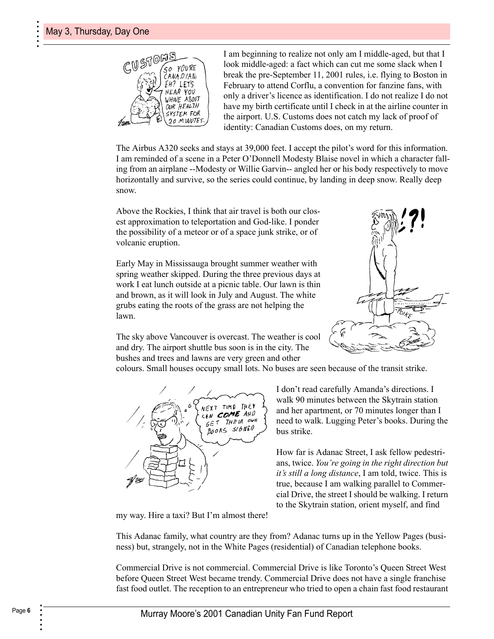

<span id="page-5-4"></span><span id="page-5-1"></span>I am beginning to realize not only am I middle-aged, but that I look middle-aged: a fact which can cut me some slack when I break the pre-September 11, 2001 rules, i.e. flying to Boston in February to attend Corflu, a convention for fanzine fans, with only a driver's licence as identification. I do not realize I do not have my birth certificate until I check in at the airline counter in the airport. U.S. Customs does not catch my lack of proof of identity: Canadian Customs does, on my return.

The Airbus A320 seeks and stays at 39,000 feet. I accept the pilot's word for this information. I am reminded of a scene in a Peter O'Donnell Modesty Blaise novel in which a character falling from an airplane --Modesty or Willie Garvin-- angled her or his body respectively to move horizontally and survive, so the series could continue, by landing in deep snow. Really deep snow.

Above the Rockies, I think that air travel is both our closest approximation to teleportation and God-like. I ponder the possibility of a meteor or of a space junk strike, or of volcanic eruption.

Early May in Mississauga brought summer weather with spring weather skipped. During the three previous days at work I eat lunch outside at a picnic table. Our lawn is thin and brown, as it will look in July and August. The white grubs eating the roots of the grass are not helping the lawn.

The sky above Vancouver is overcast. The weather is cool and dry. The airport shuttle bus soon is in the city. The bushes and trees and lawns are very green and other

<span id="page-5-2"></span><span id="page-5-0"></span>

colours. Small houses occupy small lots. No buses are seen because of the transit strike.



<span id="page-5-8"></span><span id="page-5-7"></span><span id="page-5-3"></span>I don't read carefully Amanda's directions. I walk 90 minutes between the Skytrain station and her apartment, or 70 minutes longer than I need to walk. Lugging Peter's books. During the bus strike.

<span id="page-5-6"></span><span id="page-5-5"></span>How far is Adanac Street, I ask fellow pedestrians, twice. *You're going in the right direction but it's still a long distance*, I am told, twice. This is true, because I am walking parallel to Commercial Drive, the street I should be walking. I return to the Skytrain station, orient myself, and find

my way. Hire a taxi? But I'm almost there!

This Adanac family, what country are they from? Adanac turns up in the Yellow Pages (business) but, strangely, not in the White Pages (residential) of Canadian telephone books.

Commercial Drive is not commercial. Commercial Drive is like Toronto's Queen Street West before Queen Street West became trendy. Commercial Drive does not have a single franchise fast food outlet. The reception to an entrepreneur who tried to open a chain fast food restaurant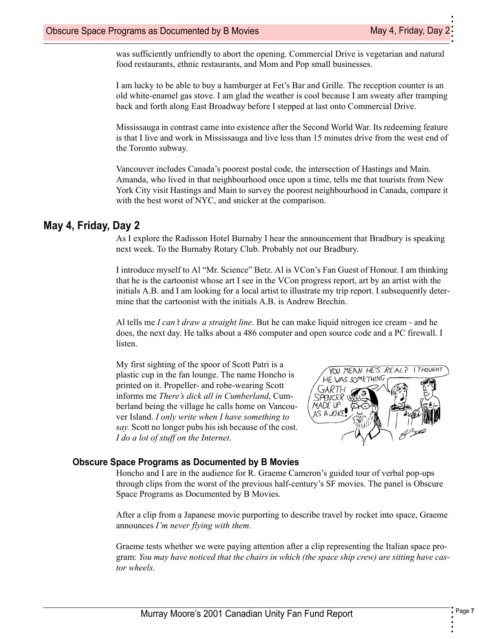•

•

was sufficiently unfriendly to abort the opening. Commercial Drive is vegetarian and natural food restaurants, ethnic restaurants, and Mom and Pop small businesses.

<span id="page-6-7"></span><span id="page-6-6"></span>I am lucky to be able to buy a hamburger at Fet's Bar and Grille. The reception counter is an old white-enamel gas stove. I am glad the weather is cool because I am sweaty after tramping back and forth along East Broadway before I stepped at last onto Commercial Drive.

Mississauga in contrast came into existence after the Second World War. Its redeeming feature is that I live and work in Mississauga and live less than 15 minutes drive from the west end of the Toronto subway.

Vancouver includes Canada's poorest postal code, the intersection of Hastings and Main. Amanda, who lived in that neighbourhood once upon a time, tells me that tourists from New York City visit Hastings and Main to survey the poorest neighbourhood in Canada, compare it with the best worst of NYC, and snicker at the comparison.

### **May 4, Friday, Day 2**

<span id="page-6-9"></span>As I explore the Radisson Hotel Burnaby I hear the announcement that Bradbury is speaking next week. To the Burnaby Rotary Club. Probably not our Bradbury.

I introduce myself to Al "Mr. Science" Betz. Al is VCon's Fan Guest of Honour. I am thinking that he is the cartoonist whose art I see in the VCon progress report, art by an artist with the initials A.B. and I am looking for a local artist to illustrate my trip report. I subsequently determine that the cartoonist with the initials A.B. is Andrew Brechin.

Al tells me *I can't draw a straight line*. But he can make liquid nitrogen ice cream - and he does, the next day. He talks about a 486 computer and open source code and a PC firewall. I listen.

My first sighting of the spoor of Scott Patri is a plastic cup in the fan lounge. The name Honcho is printed on it. Propeller- and robe-wearing Scott informs me *There's dick all in Cumberland*, Cumberland being the village he calls home on Vancouver Island. *I only write when I have something to say.* Scott no longer pubs his ish because of the cost. *I do a lot of stuff on the Internet*.

<span id="page-6-10"></span><span id="page-6-8"></span><span id="page-6-5"></span><span id="page-6-4"></span><span id="page-6-3"></span><span id="page-6-2"></span><span id="page-6-1"></span><span id="page-6-0"></span>

### **Obscure Space Programs as Documented by B Movies**

Honcho and I are in the audience for R. Graeme Cameron's guided tour of verbal pop-ups through clips from the worst of the previous half-century's SF movies. The panel is Obscure Space Programs as Documented by B Movies.

After a clip from a Japanese movie purporting to describe travel by rocket into space, Graeme announces *I'm never flying with them.*

Graeme tests whether we were paying attention after a clip representing the Italian space program: *You may have noticed that the chairs in which (the space ship crew) are sitting have castor wheels*.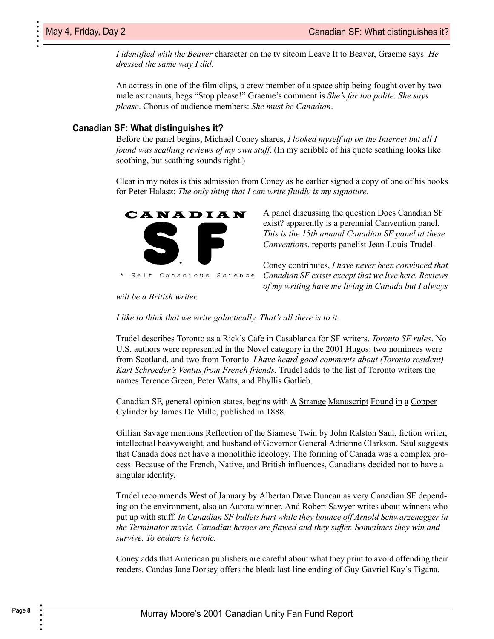*I identified with the Beaver* character on the tv sitcom Leave It to Beaver, Graeme says. *He dressed the same way I did*.

An actress in one of the film clips, a crew member of a space ship being fought over by two male astronauts, begs "Stop please!" Graeme's comment is *She's far too polite. She says please*. Chorus of audience members: *She must be Canadian*.

#### <span id="page-7-21"></span>**Canadian SF: What distinguishes it?**

Before the panel begins, Michael Coney shares, *I looked myself up on the Internet but all I found was scathing reviews of my own stuff*. (In my scribble of his quote scathing looks like soothing, but scathing sounds right.)

<span id="page-7-12"></span>Clear in my notes is this admission from Coney as he earlier signed a copy of one of his books for Peter Halasz: *The only thing that I can write fluidly is my signature.*



<span id="page-7-20"></span><span id="page-7-19"></span><span id="page-7-7"></span><span id="page-7-5"></span>A panel discussing the question Does Canadian SF exist? apparently is a perennial Canvention panel. *This is the 15th annual Canadian SF panel at these Canventions*, reports panelist Jean-Louis Trudel.

<span id="page-7-14"></span><span id="page-7-10"></span><span id="page-7-6"></span><span id="page-7-0"></span>Coney contributes, *I have never been convinced that Canadian SF exists except that we live here. Reviews of my writing have me living in Canada but I always* 

*will be a British writer.*

*I like to think that we write galactically. That's all there is to it.*

<span id="page-7-17"></span><span id="page-7-3"></span>Trudel describes Toronto as a Rick's Cafe in Casablanca for SF writers. *Toronto SF rules*. No U.S. authors were represented in the Novel category in the 2001 Hugos: two nominees were from Scotland, and two from Toronto. *I have heard good comments about (Toronto resident) Karl Schroeder's Ventus from French friends.* Trudel adds to the list of Toronto writers the names Terence Green, Peter Watts, and Phyllis Gotlieb.

<span id="page-7-22"></span><span id="page-7-11"></span>Canadian SF, general opinion states, begins with A Strange Manuscript Found in a Copper Cylinder by James De Mille, published in 1888.

<span id="page-7-15"></span><span id="page-7-1"></span>Gillian Savage mentions Reflection of the Siamese Twin by John Ralston Saul, fiction writer, intellectual heavyweight, and husband of Governor General Adrienne Clarkson. Saul suggests that Canada does not have a monolithic ideology. The forming of Canada was a complex process. Because of the French, Native, and British influences, Canadians decided not to have a singular identity.

<span id="page-7-18"></span><span id="page-7-16"></span><span id="page-7-9"></span><span id="page-7-4"></span>Trudel recommends West of January by Albertan Dave Duncan as very Canadian SF depending on the environment, also an Aurora winner. And Robert Sawyer writes about winners who put up with stuff. *In Canadian SF bullets hurt while they bounce off Arnold Schwarzenegger in the Terminator movie. Canadian heroes are flawed and they suffer. Sometimes they win and survive. To endure is heroic.*

<span id="page-7-13"></span><span id="page-7-8"></span><span id="page-7-2"></span>Coney adds that American publishers are careful about what they print to avoid offending their readers. Candas Jane Dorsey offers the bleak last-line ending of Guy Gavriel Kay's Tigana.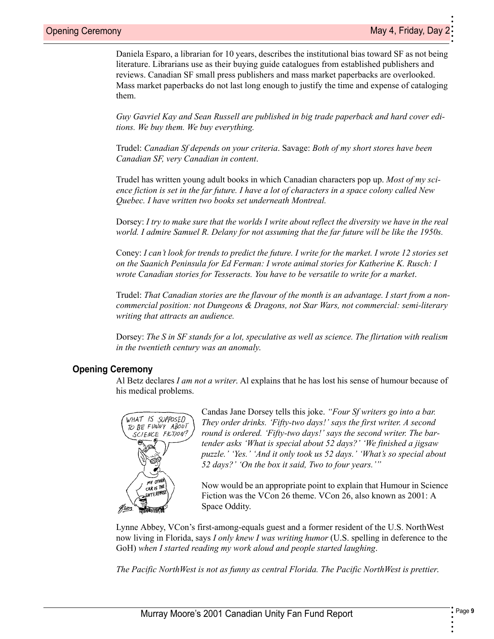•

<span id="page-8-9"></span>•

<span id="page-8-6"></span>Daniela Esparo, a librarian for 10 years, describes the institutional bias toward SF as not being literature. Librarians use as their buying guide catalogues from established publishers and reviews. Canadian SF small press publishers and mass market paperbacks are overlooked. Mass market paperbacks do not last long enough to justify the time and expense of cataloging them.

<span id="page-8-10"></span><span id="page-8-8"></span>*Guy Gavriel Kay and Sean Russell are published in big trade paperback and hard cover editions. We buy them. We buy everything.*

<span id="page-8-14"></span><span id="page-8-11"></span>Trudel: *Canadian Sf depends on your criteria*. Savage: *Both of my short stores have been Canadian SF, very Canadian in content*.

Trudel has written young adult books in which Canadian characters pop up. *Most of my science fiction is set in the far future. I have a lot of characters in a space colony called New Quebec. I have written two books set underneath Montreal.*

<span id="page-8-4"></span><span id="page-8-3"></span>Dorsey: *I try to make sure that the worlds I write about reflect the diversity we have in the real world. I admire Samuel R. Delany for not assuming that the far future will be like the 1950s.*

<span id="page-8-12"></span><span id="page-8-7"></span><span id="page-8-2"></span>Coney: *I can't look for trends to predict the future. I write for the market. I wrote 12 stories set on the Saanich Peninsula for Ed Ferman: I wrote animal stories for Katherine K. Rusch: I wrote Canadian stories for Tesseracts. You have to be versatile to write for a market*.

<span id="page-8-5"></span>Trudel: *That Canadian stories are the flavour of the month is an advantage. I start from a noncommercial position: not Dungeons & Dragons, not Star Wars, not commercial: semi-literary writing that attracts an audience.*

Dorsey: *The S in SF stands for a lot, speculative as well as science. The flirtation with realism in the twentieth century was an anomaly*.

### <span id="page-8-15"></span>**Opening Ceremony**

<span id="page-8-1"></span>Al Betz declares *I am not a writer*. Al explains that he has lost his sense of humour because of his medical problems.



<span id="page-8-13"></span>Candas Jane Dorsey tells this joke. *"Four Sf writers go into a bar. They order drinks. 'Fifty-two days!' says the first writer. A second round is ordered. 'Fifty-two days!' says the second writer. The bartender asks 'What is special about 52 days?' 'We finished a jigsaw puzzle.' 'Yes.' 'And it only took us 52 days.' 'What's so special about 52 days?' 'On the box it said, Two to four years.'"*

<span id="page-8-17"></span><span id="page-8-16"></span>Now would be an appropriate point to explain that Humour in Science Fiction was the VCon 26 theme. VCon 26, also known as 2001: A Space Oddity.

<span id="page-8-0"></span>Lynne Abbey, VCon's first-among-equals guest and a former resident of the U.S. NorthWest now living in Florida, says *I only knew I was writing humor* (U.S. spelling in deference to the GoH) *when I started reading my work aloud and people started laughing*.

*The Pacific NorthWest is not as funny as central Florida. The Pacific NorthWest is prettier*.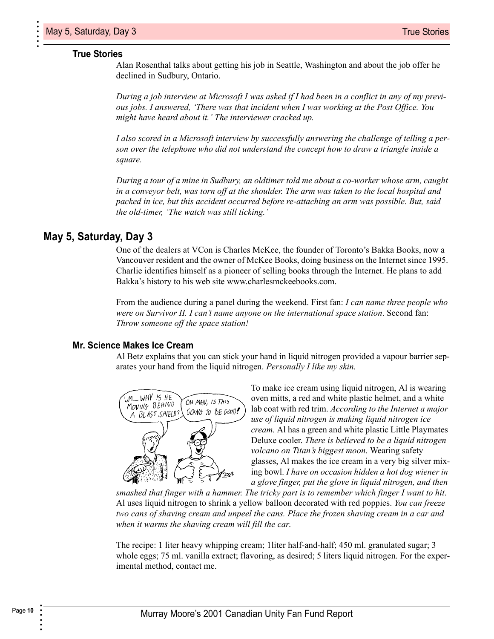#### <span id="page-9-9"></span>**True Stories**

<span id="page-9-5"></span>Alan Rosenthal talks about getting his job in Seattle, Washington and about the job offer he declined in Sudbury, Ontario.

<span id="page-9-6"></span>*During a job interview at Microsoft I was asked if I had been in a conflict in any of my previous jobs. I answered, 'There was that incident when I was working at the Post Office. You might have heard about it.' The interviewer cracked up.*

*I also scored in a Microsoft interview by successfully answering the challenge of telling a person over the telephone who did not understand the concept how to draw a triangle inside a square.*

<span id="page-9-7"></span>*During a tour of a mine in Sudbury, an oldtimer told me about a co-worker whose arm, caught in a conveyor belt, was torn off at the shoulder. The arm was taken to the local hospital and packed in ice, but this accident occurred before re-attaching an arm was possible. But, said the old-timer, 'The watch was still ticking.'*

### **May 5, Saturday, Day 3**

<span id="page-9-10"></span><span id="page-9-4"></span><span id="page-9-3"></span>One of the dealers at VCon is Charles McKee, the founder of Toronto's Bakka Books, now a Vancouver resident and the owner of McKee Books, doing business on the Internet since 1995. Charlie identifies himself as a pioneer of selling books through the Internet. He plans to add Bakka's history to his web site www.charlesmckeebooks.com.

<span id="page-9-8"></span>From the audience during a panel during the weekend. First fan: *I can name three people who were on Survivor II. I can't name anyone on the international space station*. Second fan: *Throw someone off the space station!*

#### <span id="page-9-11"></span>**Mr. Science Makes Ice Cream**

<span id="page-9-1"></span>Al Betz explains that you can stick your hand in liquid nitrogen provided a vapour barrier separates your hand from the liquid nitrogen. *Personally I like my skin.*



<span id="page-9-2"></span><span id="page-9-0"></span>To make ice cream using liquid nitrogen, Al is wearing oven mitts, a red and white plastic helmet, and a white lab coat with red trim. *According to the Internet a major use of liquid nitrogen is making liquid nitrogen ice cream.* Al has a green and white plastic Little Playmates Deluxe cooler. *There is believed to be a liquid nitrogen volcano on Titan's biggest moon*. Wearing safety glasses, Al makes the ice cream in a very big silver mixing bowl. *I have on occasion hidden a hot dog wiener in a glove finger, put the glove in liquid nitrogen, and then* 

*smashed that finger with a hammer. The tricky part is to remember which finger I want to hit*. Al uses liquid nitrogen to shrink a yellow balloon decorated with red poppies. *You can freeze two cans of shaving cream and unpeel the cans. Place the frozen shaving cream in a car and when it warms the shaving cream will fill the car*.

The recipe: 1 liter heavy whipping cream; 1liter half-and-half; 450 ml. granulated sugar; 3 whole eggs; 75 ml. vanilla extract; flavoring, as desired; 5 liters liquid nitrogen. For the experimental method, contact me.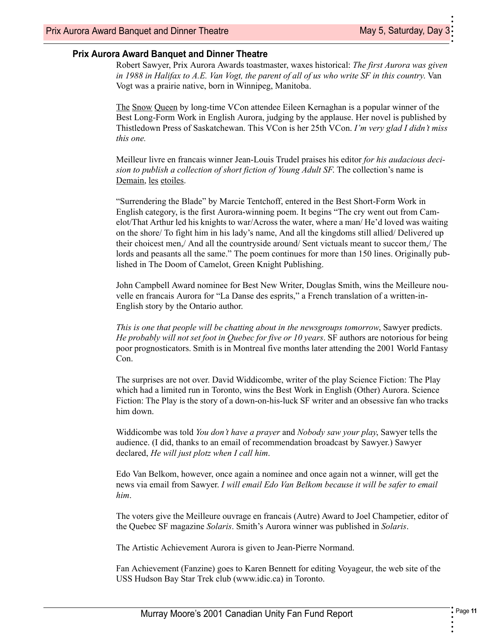• •

<span id="page-10-13"></span>•

### <span id="page-10-28"></span>**Prix Aurora Award Banquet and Dinner Theatre**

<span id="page-10-27"></span><span id="page-10-16"></span>Robert Sawyer, Prix Aurora Awards toastmaster, waxes historical: *The first Aurora was given in 1988 in Halifax to A.E. Van Vogt, the parent of all of us who write SF in this country*. Van Vogt was a prairie native, born in Winnipeg, Manitoba.

<span id="page-10-20"></span><span id="page-10-10"></span><span id="page-10-3"></span>The Snow Queen by long-time VCon attendee Eileen Kernaghan is a popular winner of the Best Long-Form Work in English Aurora, judging by the applause. Her novel is published by Thistledown Press of Saskatchewan. This VCon is her 25th VCon. *I'm very glad I didn't miss this one.*

<span id="page-10-24"></span><span id="page-10-12"></span><span id="page-10-4"></span>Meilleur livre en francais winner Jean-Louis Trudel praises his editor *for his audacious decision to publish a collection of short fiction of Young Adult SF*. The collection's name is Demain, les etoiles.

<span id="page-10-23"></span><span id="page-10-22"></span><span id="page-10-8"></span>"Surrendering the Blade" by Marcie Tentchoff, entered in the Best Short-Form Work in English category, is the first Aurora-winning poem. It begins "The cry went out from Camelot/That Arthur led his knights to war/Across the water, where a man/ He'd loved was waiting on the shore/ To fight him in his lady's name, And all the kingdoms still allied/ Delivered up their choicest men,/ And all the countryside around/ Sent victuals meant to succor them,/ The lords and peasants all the same." The poem continues for more than 150 lines. Originally published in The Doom of Camelot, Green Knight Publishing.

<span id="page-10-19"></span><span id="page-10-14"></span><span id="page-10-2"></span>John Campbell Award nominee for Best New Writer, Douglas Smith, wins the Meilleure nouvelle en francais Aurora for "La Danse des esprits," a French translation of a written-in-English story by the Ontario author.

*This is one that people will be chatting about in the newsgroups tomorrow*, Sawyer predicts. *He probably will not set foot in Quebec for five or 10 years*. SF authors are notorious for being poor prognosticators. Smith is in Montreal five months later attending the 2001 World Fantasy Con.

<span id="page-10-30"></span><span id="page-10-17"></span><span id="page-10-1"></span>The surprises are not over. David Widdicombe, writer of the play Science Fiction: The Play which had a limited run in Toronto, wins the Best Work in English (Other) Aurora. Science Fiction: The Play is the story of a down-on-his-luck SF writer and an obsessive fan who tracks him down.

Widdicombe was told *You don't have a prayer* and *Nobody saw your play*, Sawyer tells the audience. (I did, thanks to an email of recommendation broadcast by Sawyer.) Sawyer declared, *He will just plotz when I call him*.

<span id="page-10-26"></span>Edo Van Belkom, however, once again a nominee and once again not a winner, will get the news via email from Sawyer. *I will email Edo Van Belkom because it will be safer to email him*.

<span id="page-10-21"></span><span id="page-10-18"></span><span id="page-10-11"></span><span id="page-10-6"></span>The voters give the Meilleure ouvrage en francais (Autre) Award to Joel Champetier, editor of the Quebec SF magazine *Solaris*. Smith's Aurora winner was published in *Solaris*.

<span id="page-10-29"></span><span id="page-10-25"></span><span id="page-10-15"></span><span id="page-10-9"></span><span id="page-10-5"></span><span id="page-10-0"></span>The Artistic Achievement Aurora is given to Jean-Pierre Normand.

<span id="page-10-7"></span>Fan Achievement (Fanzine) goes to Karen Bennett for editing Voyageur, the web site of the USS Hudson Bay Star Trek club (www.idic.ca) in Toronto.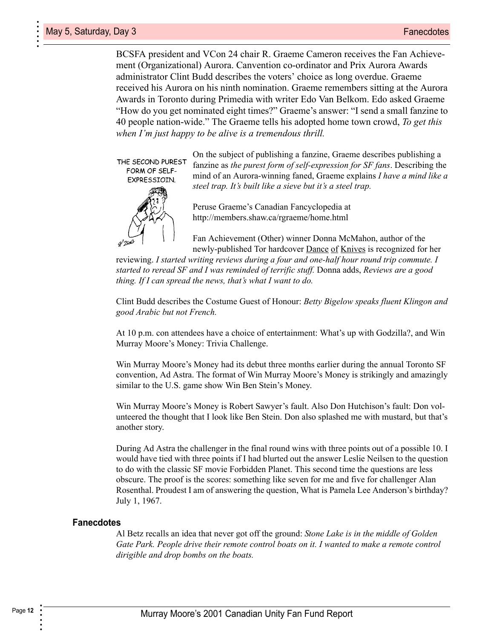> <span id="page-11-6"></span>BCSFA president and VCon 24 chair R. Graeme Cameron receives the Fan Achievement (Organizational) Aurora. Canvention co-ordinator and Prix Aurora Awards administrator Clint Budd describes the voters' choice as long overdue. Graeme received his Aurora on his ninth nomination. Graeme remembers sitting at the Aurora Awards in Toronto during Primedia with writer Edo Van Belkom. Edo asked Graeme "How do you get nominated eight times?" Graeme's answer: "I send a small fanzine to 40 people nation-wide." The Graeme tells his adopted home town crowd, *To get this when I'm just happy to be alive is a tremendous thrill.*



<span id="page-11-16"></span><span id="page-11-12"></span><span id="page-11-7"></span><span id="page-11-2"></span>On the subject of publishing a fanzine, Graeme describes publishing a fanzine as *the purest form of self-expression for SF fans*. Describing the mind of an Aurora-winning faned, Graeme explains *I have a mind like a steel trap. It's built like a sieve but it's a steel trap.*

<span id="page-11-15"></span>Peruse Graeme's Canadian Fancyclopedia at http://members.shaw.ca/rgraeme/home.html

<span id="page-11-10"></span><span id="page-11-9"></span><span id="page-11-5"></span><span id="page-11-4"></span><span id="page-11-1"></span>Fan Achievement (Other) winner Donna McMahon, author of the newly-published Tor hardcover Dance of Knives is recognized for her

reviewing. *I started writing reviews during a four and one-half hour round trip commute. I started to reread SF and I was reminded of terrific stuff.* Donna adds, *Reviews are a good thing. If I can spread the news, that's what I want to do.*

Clint Budd describes the Costume Guest of Honour: *Betty Bigelow speaks fluent Klingon and good Arabic but not French.*

At 10 p.m. con attendees have a choice of entertainment: What's up with Godzilla?, and Win Murray Moore's Money: Trivia Challenge.

<span id="page-11-17"></span>Win Murray Moore's Money had its debut three months earlier during the annual Toronto SF convention, Ad Astra. The format of Win Murray Moore's Money is strikingly and amazingly similar to the U.S. game show Win Ben Stein's Money.

<span id="page-11-14"></span>Win Murray Moore's Money is Robert Sawyer's fault. Also Don Hutchison's fault: Don volunteered the thought that I look like Ben Stein. Don also splashed me with mustard, but that's another story.

<span id="page-11-13"></span><span id="page-11-11"></span><span id="page-11-8"></span><span id="page-11-0"></span>During Ad Astra the challenger in the final round wins with three points out of a possible 10. I would have tied with three points if I had blurted out the answer Leslie Neilsen to the question to do with the classic SF movie Forbidden Planet. This second time the questions are less obscure. The proof is the scores: something like seven for me and five for challenger Alan Rosenthal. Proudest I am of answering the question, What is Pamela Lee Anderson's birthday? July 1, 1967.

#### **Fanecdotes**

<span id="page-11-3"></span>Al Betz recalls an idea that never got off the ground: *Stone Lake is in the middle of Golden*  Gate Park. People drive their remote control boats on it. I wanted to make a remote control *dirigible and drop bombs on the boats.*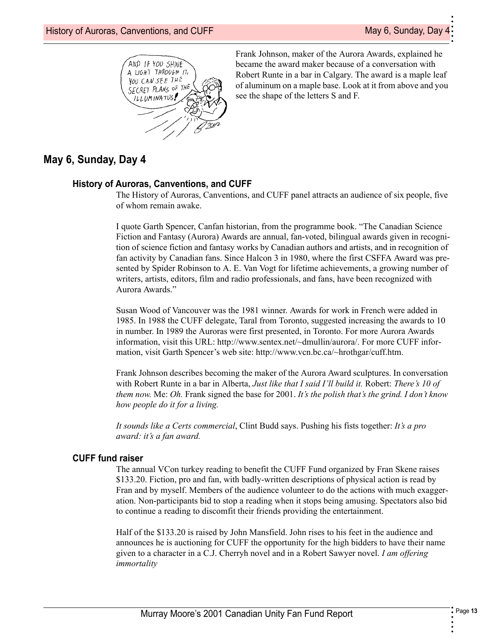

<span id="page-12-5"></span><span id="page-12-2"></span>Frank Johnson, maker of the Aurora Awards, explained he became the award maker because of a conversation with Robert Runte in a bar in Calgary. The award is a maple leaf of aluminum on a maple base. Look at it from above and you see the shape of the letters S and F.

### **May 6, Sunday, Day 4**

#### <span id="page-12-12"></span>**History of Auroras, Canventions, and CUFF**

The History of Auroras, Canventions, and CUFF panel attracts an audience of six people, five of whom remain awake.

<span id="page-12-13"></span><span id="page-12-8"></span><span id="page-12-4"></span>I quote Garth Spencer, Canfan historian, from the programme book. "The Canadian Science Fiction and Fantasy (Aurora) Awards are annual, fan-voted, bilingual awards given in recognition of science fiction and fantasy works by Canadian authors and artists, and in recognition of fan activity by Canadian fans. Since Halcon 3 in 1980, where the first CSFFA Award was presented by Spider Robinson to A. E. Van Vogt for lifetime achievements, a growing number of writers, artists, editors, film and radio professionals, and fans, have been recognized with Aurora Awards."

<span id="page-12-14"></span><span id="page-12-11"></span><span id="page-12-9"></span>Susan Wood of Vancouver was the 1981 winner. Awards for work in French were added in 1985. In 1988 the CUFF delegate, Taral from Toronto, suggested increasing the awards to 10 in number. In 1989 the Auroras were first presented, in Toronto. For more Aurora Awards information, visit this URL: http://www.sentex.net/~dmullin/aurora/. For more CUFF information, visit Garth Spencer's web site: http://www.vcn.bc.ca/~hrothgar/cuff.htm.

<span id="page-12-10"></span>Frank Johnson describes becoming the maker of the Aurora Award sculptures. In conversation with Robert Runte in a bar in Alberta, *Just like that I said I'll build it.* Robert: *There's 10 of them now.* Me: *Oh.* Frank signed the base for 2001. *It's the polish that's the grind. I don't know how people do it for a living.*

<span id="page-12-0"></span>*It sounds like a Certs commercial*, Clint Budd says. Pushing his fists together: *It's a pro award: it's a fan award.*

#### **CUFF fund raiser**

<span id="page-12-7"></span>The annual VCon turkey reading to benefit the CUFF Fund organized by Fran Skene raises \$133.20. Fiction, pro and fan, with badly-written descriptions of physical action is read by Fran and by myself. Members of the audience volunteer to do the actions with much exaggeration. Non-participants bid to stop a reading when it stops being amusing. Spectators also bid to continue a reading to discomfit their friends providing the entertainment.

<span id="page-12-6"></span><span id="page-12-3"></span><span id="page-12-1"></span>Half of the \$133.20 is raised by John Mansfield. John rises to his feet in the audience and announces he is auctioning for CUFF the opportunity for the high bidders to have their name given to a character in a C.J. Cherryh novel and in a Robert Sawyer novel. *I am offering immortality*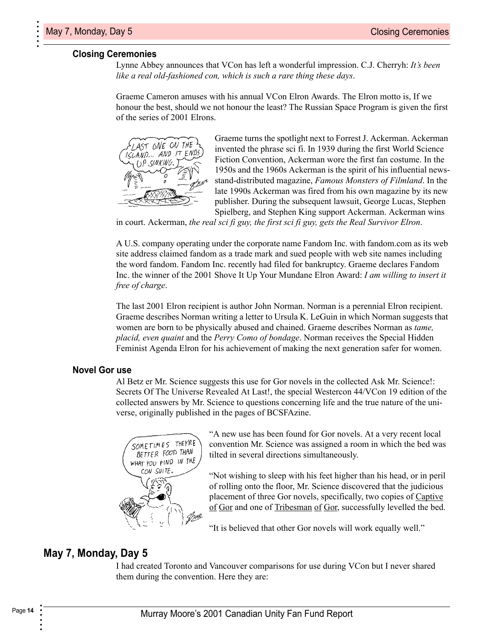#### **Closing Ceremonies**

<span id="page-13-19"></span>Lynne Abbey announces that VCon has left a wonderful impression. C.J. Cherryh: *It's been like a real old-fashioned con, which is such a rare thing these days*.

<span id="page-13-3"></span>Graeme Cameron amuses with his annual VCon Elron Awards. The Elron motto is, If we honour the best, should we not honour the least? The Russian Space Program is given the first of the series of 2001 Elrons.



<span id="page-13-20"></span><span id="page-13-18"></span><span id="page-13-16"></span><span id="page-13-14"></span><span id="page-13-12"></span><span id="page-13-11"></span><span id="page-13-10"></span><span id="page-13-7"></span><span id="page-13-6"></span><span id="page-13-5"></span><span id="page-13-0"></span>Graeme turns the spotlight next to Forrest J. Ackerman. Ackerman invented the phrase sci fi. In 1939 during the first World Science Fiction Convention, Ackerman wore the first fan costume. In the 1950s and the 1960s Ackerman is the spirit of his influential newsstand-distributed magazine, *Famous Monsters of Filmland*. In the late 1990s Ackerman was fired from his own magazine by its new publisher. During the subsequent lawsuit, George Lucas, Stephen Spielberg, and Stephen King support Ackerman. Ackerman wins

in court. Ackerman, *the real sci fi guy, the first sci fi guy, gets the Real Survivor Elron*.

<span id="page-13-8"></span>A U.S. company operating under the corporate name Fandom Inc. with fandom.com as its web site address claimed fandom as a trade mark and sued people with web site names including the word fandom. Fandom Inc. recently had filed for bankruptcy. Graeme declares Fandom Inc. the winner of the 2001 Shove It Up Your Mundane Elron Award: *I am willing to insert it free of charge*.

The last 2001 Elron recipient is author John Norman. Norman is a perennial Elron recipient. Graeme describes Norman writing a letter to Ursula K. LeGuin in which Norman suggests that women are born to be physically abused and chained. Graeme describes Norman as *tame, placid, even quaint* and the *Perry Como of bondage*. Norman receives the Special Hidden Feminist Agenda Elron for his achievement of making the next generation safer for women.

#### **Novel Gor use**

Al Betz er Mr. Science suggests this use for Gor novels in the collected Ask Mr. Science!: Secrets Of The Universe Revealed At Last!, the special Westercon 44/VCon 19 edition of the collected answers by Mr. Science to questions concerning life and the true nature of the universe, originally published in the pages of BCSFAzine.



<span id="page-13-15"></span><span id="page-13-13"></span><span id="page-13-9"></span><span id="page-13-4"></span>"A new use has been found for Gor novels. At a very recent local convention Mr. Science was assigned a room in which the bed was tilted in several directions simultaneously.

<span id="page-13-2"></span><span id="page-13-1"></span>"Not wishing to sleep with his feet higher than his head, or in peril of rolling onto the floor, Mr. Science discovered that the judicious placement of three Gor novels, specifically, two copies of Captive of Gor and one of Tribesman of Gor, successfully levelled the bed.

<span id="page-13-17"></span>"It is believed that other Gor novels will work equally well."

### **May 7, Monday, Day 5**

I had created Toronto and Vancouver comparisons for use during VCon but I never shared them during the convention. Here they are: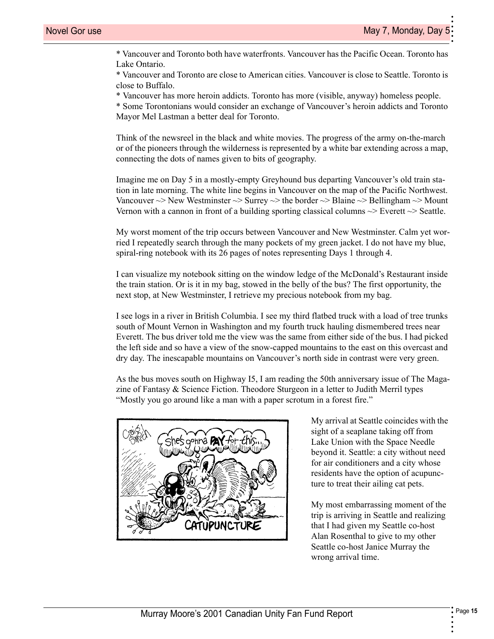• •

•

\* Vancouver and Toronto both have waterfronts. Vancouver has the Pacific Ocean. Toronto has Lake Ontario.

\* Vancouver and Toronto are close to American cities. Vancouver is close to Seattle. Toronto is close to Buffalo.

\* Vancouver has more heroin addicts. Toronto has more (visible, anyway) homeless people.

<span id="page-14-0"></span>\* Some Torontonians would consider an exchange of Vancouver's heroin addicts and Toronto Mayor Mel Lastman a better deal for Toronto.

Think of the newsreel in the black and white movies. The progress of the army on-the-march or of the pioneers through the wilderness is represented by a white bar extending across a map, connecting the dots of names given to bits of geography.

Imagine me on Day 5 in a mostly-empty Greyhound bus departing Vancouver's old train station in late morning. The white line begins in Vancouver on the map of the Pacific Northwest. Vancouver  $\sim$  New Westminster  $\sim$  Surrey  $\sim$  the border  $\sim$  Blaine  $\sim$  Bellingham  $\sim$  Mount Vernon with a cannon in front of a building sporting classical columns  $\sim$  Everett  $\sim$  Seattle.

My worst moment of the trip occurs between Vancouver and New Westminster. Calm yet worried I repeatedly search through the many pockets of my green jacket. I do not have my blue, spiral-ring notebook with its 26 pages of notes representing Days 1 through 4.

I can visualize my notebook sitting on the window ledge of the McDonald's Restaurant inside the train station. Or is it in my bag, stowed in the belly of the bus? The first opportunity, the next stop, at New Westminster, I retrieve my precious notebook from my bag.

I see logs in a river in British Columbia. I see my third flatbed truck with a load of tree trunks south of Mount Vernon in Washington and my fourth truck hauling dismembered trees near Everett. The bus driver told me the view was the same from either side of the bus. I had picked the left side and so have a view of the snow-capped mountains to the east on this overcast and dry day. The inescapable mountains on Vancouver's north side in contrast were very green.

As the bus moves south on Highway I5, I am reading the 50th anniversary issue of The Magazine of Fantasy  $\&$  Science Fiction. Theodore Sturgeon in a letter to Judith Merril types "Mostly you go around like a man with a paper scrotum in a forest fire."



<span id="page-14-7"></span><span id="page-14-6"></span><span id="page-14-5"></span><span id="page-14-4"></span><span id="page-14-1"></span>My arrival at Seattle coincides with the sight of a seaplane taking off from Lake Union with the Space Needle beyond it. Seattle: a city without need for air conditioners and a city whose residents have the option of acupuncture to treat their ailing cat pets.

<span id="page-14-3"></span><span id="page-14-2"></span>My most embarrassing moment of the trip is arriving in Seattle and realizing that I had given my Seattle co-host Alan Rosenthal to give to my other Seattle co-host Janice Murray the wrong arrival time.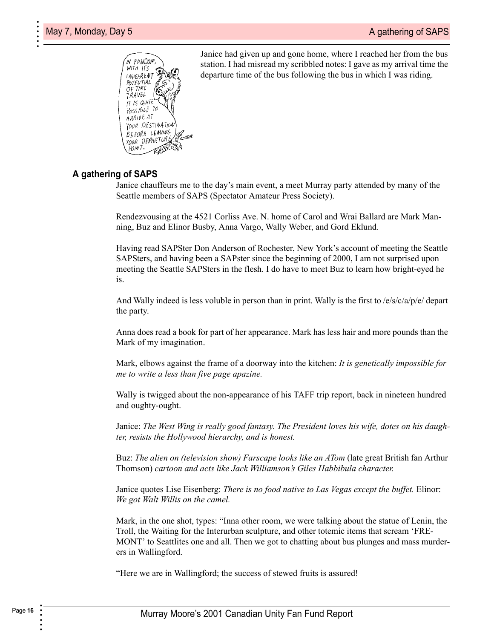

<span id="page-15-10"></span><span id="page-15-7"></span><span id="page-15-3"></span><span id="page-15-2"></span>Janice had given up and gone home, where I reached her from the bus station. I had misread my scribbled notes: I gave as my arrival time the departure time of the bus following the bus in which I was riding.

### **A gathering of SAPS**

<span id="page-15-12"></span>Janice chauffeurs me to the day's main event, a meet Murray party attended by many of the Seattle members of SAPS (Spectator Amateur Press Society).

<span id="page-15-22"></span><span id="page-15-21"></span><span id="page-15-5"></span><span id="page-15-4"></span>Rendezvousing at the 4521 Corliss Ave. N. home of Carol and Wrai Ballard are Mark Manning, Buz and Elinor Busby, Anna Vargo, Wally Weber, and Gord Eklund.

<span id="page-15-0"></span>Having read SAPSter Don Anderson of Rochester, New York's account of meeting the Seattle SAPSters, and having been a SAPster since the beginning of 2000, I am not surprised upon meeting the Seattle SAPSters in the flesh. I do have to meet Buz to learn how bright-eyed he is.

And Wally indeed is less voluble in person than in print. Wally is the first to  $/e/s/c/a/p/e/$  depart the party.

Anna does read a book for part of her appearance. Mark has less hair and more pounds than the Mark of my imagination.

Mark, elbows against the frame of a doorway into the kitchen: *It is genetically impossible for me to write a less than five page apazine.*

Wally is twigged about the non-appearance of his TAFF trip report, back in nineteen hundred and oughty-ought.

<span id="page-15-19"></span><span id="page-15-11"></span>Janice: *The West Wing is really good fantasy. The President loves his wife, dotes on his daughter, resists the Hollywood hierarchy, and is honest.*

<span id="page-15-23"></span><span id="page-15-20"></span><span id="page-15-18"></span><span id="page-15-8"></span><span id="page-15-1"></span>Buz: *The alien on (television show) Farscape looks like an ATom* (late great British fan Arthur Thomson) *cartoon and acts like Jack Williamson's Giles Habbibula character.*

<span id="page-15-24"></span><span id="page-15-9"></span><span id="page-15-6"></span>Janice quotes Lise Eisenberg: *There is no food native to Las Vegas except the buffet.* Elinor: *We got Walt Willis on the camel.*

<span id="page-15-16"></span><span id="page-15-15"></span><span id="page-15-14"></span><span id="page-15-13"></span>Mark, in the one shot, types: "Inna other room, we were talking about the statue of Lenin, the Troll, the Waiting for the Interurban sculpture, and other totemic items that scream 'FRE-MONT' to Seattlites one and all. Then we got to chatting about bus plunges and mass murderers in Wallingford.

<span id="page-15-17"></span>"Here we are in Wallingford; the success of stewed fruits is assured!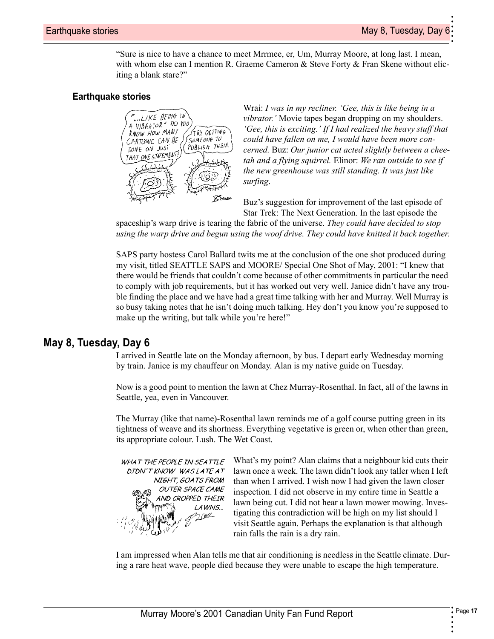• •

<span id="page-16-10"></span>•

"Sure is nice to have a chance to meet Mrrmee, er, Um, Murray Moore, at long last. I mean, with whom else can I mention R. Graeme Cameron & Steve Forty & Fran Skene without eliciting a blank stare?"

### <span id="page-16-8"></span>**Earthquake stories**



<span id="page-16-5"></span><span id="page-16-4"></span><span id="page-16-3"></span><span id="page-16-2"></span><span id="page-16-1"></span>Wrai: *I was in my recliner. 'Gee, this is like being in a vibrator.'* Movie tapes began dropping on my shoulders. *'Gee, this is exciting.' If I had realized the heavy stuff that could have fallen on me, I would have been more concerned.* Buz: *Our junior cat acted slightly between a cheetah and a flying squirrel.* Elinor: *We ran outside to see if the new greenhouse was still standing. It was just like surfing*.

<span id="page-16-11"></span><span id="page-16-6"></span><span id="page-16-0"></span>Buz's suggestion for improvement of the last episode of Star Trek: The Next Generation. In the last episode the

spaceship's warp drive is tearing the fabric of the universe. *They could have decided to stop using the warp drive and begun using the woof drive. They could have knitted it back together*.

SAPS party hostess Carol Ballard twits me at the conclusion of the one shot produced during my visit, titled SEATTLE SAPS and MOORE/ Special One Shot of May, 2001: "I knew that there would be friends that couldn't come because of other commitments in particular the need to comply with job requirements, but it has worked out very well. Janice didn't have any trouble finding the place and we have had a great time talking with her and Murray. Well Murray is so busy taking notes that he isn't doing much talking. Hey don't you know you're supposed to make up the writing, but talk while you're here!"

### **May 8, Tuesday, Day 6**

I arrived in Seattle late on the Monday afternoon, by bus. I depart early Wednesday morning by train. Janice is my chauffeur on Monday. Alan is my native guide on Tuesday.

Now is a good point to mention the lawn at Chez Murray-Rosenthal. In fact, all of the lawns in Seattle, yea, even in Vancouver.

The Murray (like that name)-Rosenthal lawn reminds me of a golf course putting green in its tightness of weave and its shortness. Everything vegetative is green or, when other than green, its appropriate colour. Lush. The Wet Coast.



<span id="page-16-9"></span><span id="page-16-7"></span>What's my point? Alan claims that a neighbour kid cuts their lawn once a week. The lawn didn't look any taller when I left than when I arrived. I wish now I had given the lawn closer inspection. I did not observe in my entire time in Seattle a lawn being cut. I did not hear a lawn mower mowing. Investigating this contradiction will be high on my list should I visit Seattle again. Perhaps the explanation is that although rain falls the rain is a dry rain.

I am impressed when Alan tells me that air conditioning is needless in the Seattle climate. During a rare heat wave, people died because they were unable to escape the high temperature.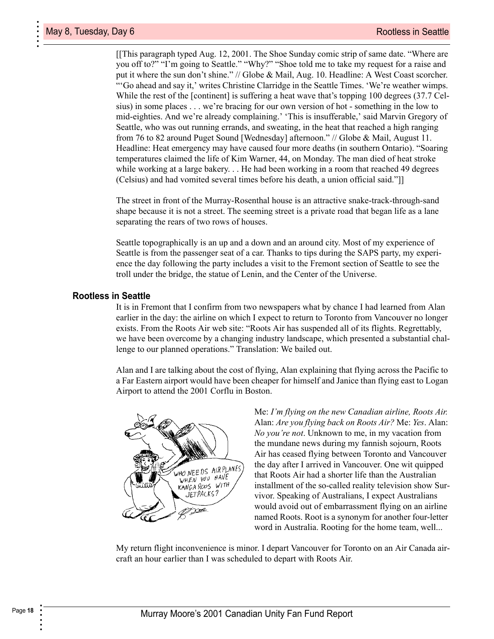[[This paragraph typed Aug. 12, 2001. The Shoe Sunday comic strip of same date. "Where are you off to?" "I'm going to Seattle." "Why?" "Shoe told me to take my request for a raise and put it where the sun don't shine." // Globe & Mail, Aug. 10. Headline: A West Coast scorcher. "'Go ahead and say it,' writes Christine Clarridge in the Seattle Times. 'We're weather wimps. While the rest of the [continent] is suffering a heat wave that's topping 100 degrees (37.7 Celsius) in some places . . . we're bracing for our own version of hot - something in the low to mid-eighties. And we're already complaining.' 'This is insufferable,' said Marvin Gregory of Seattle, who was out running errands, and sweating, in the heat that reached a high ranging from 76 to 82 around Puget Sound [Wednesday] afternoon." // Globe & Mail, August 11. Headline: Heat emergency may have caused four more deaths (in southern Ontario). "Soaring temperatures claimed the life of Kim Warner, 44, on Monday. The man died of heat stroke while working at a large bakery. . . He had been working in a room that reached 49 degrees (Celsius) and had vomited several times before his death, a union official said."]]

The street in front of the Murray-Rosenthal house is an attractive snake-track-through-sand shape because it is not a street. The seeming street is a private road that began life as a lane separating the rears of two rows of houses.

<span id="page-17-4"></span><span id="page-17-3"></span>Seattle topographically is an up and a down and an around city. Most of my experience of Seattle is from the passenger seat of a car. Thanks to tips during the SAPS party, my experience the day following the party includes a visit to the Fremont section of Seattle to see the troll under the bridge, the statue of Lenin, and the Center of the Universe.

### **Rootless in Seattle**

It is in Fremont that I confirm from two newspapers what by chance I had learned from Alan earlier in the day: the airline on which I expect to return to Toronto from Vancouver no longer exists. From the Roots Air web site: "Roots Air has suspended all of its flights. Regrettably, we have been overcome by a changing industry landscape, which presented a substantial challenge to our planned operations." Translation: We bailed out.

Alan and I are talking about the cost of flying, Alan explaining that flying across the Pacific to a Far Eastern airport would have been cheaper for himself and Janice than flying east to Logan Airport to attend the 2001 Corflu in Boston.



<span id="page-17-5"></span><span id="page-17-2"></span><span id="page-17-1"></span><span id="page-17-0"></span>Me: *I'm flying on the new Canadian airline, Roots Air.* Alan: *Are you flying back on Roots Air?* Me: *Yes*. Alan: *No you're not*. Unknown to me, in my vacation from the mundane news during my fannish sojourn, Roots Air has ceased flying between Toronto and Vancouver the day after I arrived in Vancouver. One wit quipped that Roots Air had a shorter life than the Australian installment of the so-called reality television show Survivor. Speaking of Australians, I expect Australians would avoid out of embarrassment flying on an airline named Roots. Root is a synonym for another four-letter word in Australia. Rooting for the home team, well...

My return flight inconvenience is minor. I depart Vancouver for Toronto on an Air Canada aircraft an hour earlier than I was scheduled to depart with Roots Air.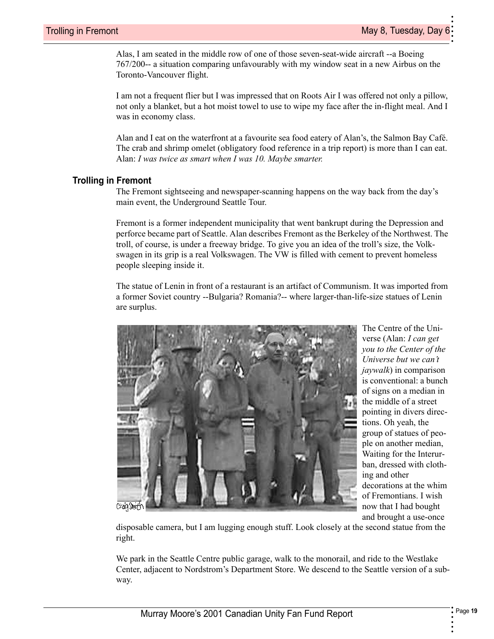• •

<span id="page-18-6"></span>•

Alas, I am seated in the middle row of one of those seven-seat-wide aircraft --a Boeing 767/200-- a situation comparing unfavourably with my window seat in a new Airbus on the Toronto-Vancouver flight.

I am not a frequent flier but I was impressed that on Roots Air I was offered not only a pillow, not only a blanket, but a hot moist towel to use to wipe my face after the in-flight meal. And I was in economy class.

<span id="page-18-0"></span>Alan and I eat on the waterfront at a favourite sea food eatery of Alan's, the Salmon Bay Café. The crab and shrimp omelet (obligatory food reference in a trip report) is more than I can eat. Alan: *I was twice as smart when I was 10. Maybe smarter.*

### **Trolling in Fremont**

<span id="page-18-8"></span>The Fremont sightseeing and newspaper-scanning happens on the way back from the day's main event, the Underground Seattle Tour.

<span id="page-18-7"></span>Fremont is a former independent municipality that went bankrupt during the Depression and perforce became part of Seattle. Alan describes Fremont as the Berkeley of the Northwest. The troll, of course, is under a freeway bridge. To give you an idea of the troll's size, the Volkswagen in its grip is a real Volkswagen. The VW is filled with cement to prevent homeless people sleeping inside it.

<span id="page-18-3"></span>The statue of Lenin in front of a restaurant is an artifact of Communism. It was imported from a former Soviet country --Bulgaria? Romania?-- where larger-than-life-size statues of Lenin are surplus.



<span id="page-18-10"></span><span id="page-18-9"></span><span id="page-18-2"></span><span id="page-18-1"></span>The Centre of the Universe (Alan: *I can get you to the Center of the Universe but we can't jaywalk*) in comparison is conventional: a bunch of signs on a median in the middle of a street pointing in divers directions. Oh yeah, the group of statues of people on another median, Waiting for the Interurban, dressed with clothing and other decorations at the whim of Fremontians. I wish now that I had bought and brought a use-once

disposable camera, but I am lugging enough stuff. Look closely at the second statue from the right.

<span id="page-18-5"></span><span id="page-18-4"></span>We park in the Seattle Centre public garage, walk to the monorail, and ride to the Westlake Center, adjacent to Nordstrom's Department Store. We descend to the Seattle version of a subway.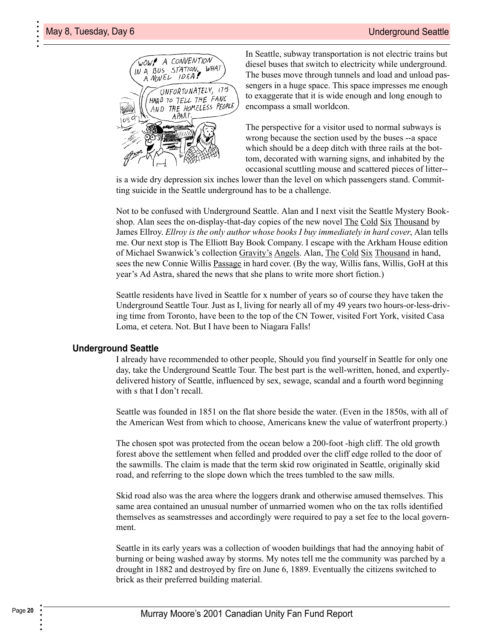

<span id="page-19-7"></span>In Seattle, subway transportation is not electric trains but diesel buses that switch to electricity while underground. The buses move through tunnels and load and unload passengers in a huge space. This space impresses me enough to exaggerate that it is wide enough and long enough to encompass a small worldcon.

<span id="page-19-6"></span><span id="page-19-2"></span><span id="page-19-0"></span>The perspective for a visitor used to normal subways is wrong because the section used by the buses --a space which should be a deep ditch with three rails at the bottom, decorated with warning signs, and inhabited by the occasional scuttling mouse and scattered pieces of litter--

is a wide dry depression six inches lower than the level on which passengers stand. Committing suicide in the Seattle underground has to be a challenge.

<span id="page-19-9"></span><span id="page-19-4"></span><span id="page-19-3"></span>Not to be confused with Underground Seattle. Alan and I next visit the Seattle Mystery Bookshop. Alan sees the on-display-that-day copies of the new novel The Cold Six Thousand by James Ellroy. *Ellroy is the only author whose books I buy immediately in hard cover*, Alan tells me. Our next stop is The Elliott Bay Book Company. I escape with the Arkham House edition of Michael Swanwick's collection Gravity's Angels. Alan, The Cold Six Thousand in hand, sees the new Connie Willis Passage in hard cover. (By the way, Willis fans, Willis, GoH at this year's Ad Astra, shared the news that she plans to write more short fiction.)

<span id="page-19-10"></span><span id="page-19-1"></span>Seattle residents have lived in Seattle for x number of years so of course they have taken the Underground Seattle Tour. Just as I, living for nearly all of my 49 years two hours-or-less-driving time from Toronto, have been to the top of the CN Tower, visited Fort York, visited Casa Loma, et cetera. Not. But I have been to Niagara Falls!

#### **Underground Seattle**

<span id="page-19-8"></span>I already have recommended to other people, Should you find yourself in Seattle for only one day, take the Underground Seattle Tour. The best part is the well-written, honed, and expertlydelivered history of Seattle, influenced by sex, sewage, scandal and a fourth word beginning with s that I don't recall.

<span id="page-19-5"></span>Seattle was founded in 1851 on the flat shore beside the water. (Even in the 1850s, with all of the American West from which to choose, Americans knew the value of waterfront property.)

The chosen spot was protected from the ocean below a 200-foot -high cliff. The old growth forest above the settlement when felled and prodded over the cliff edge rolled to the door of the sawmills. The claim is made that the term skid row originated in Seattle, originally skid road, and referring to the slope down which the trees tumbled to the saw mills.

Skid road also was the area where the loggers drank and otherwise amused themselves. This same area contained an unusual number of unmarried women who on the tax rolls identified themselves as seamstresses and accordingly were required to pay a set fee to the local government.

Seattle in its early years was a collection of wooden buildings that had the annoying habit of burning or being washed away by storms. My notes tell me the community was parched by a drought in 1882 and destroyed by fire on June 6, 1889. Eventually the citizens switched to brick as their preferred building material.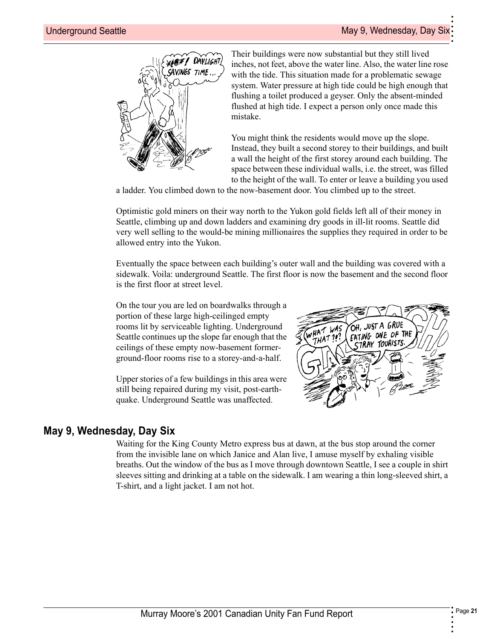• •

•



Their buildings were now substantial but they still lived inches, not feet, above the water line. Also, the water line rose with the tide. This situation made for a problematic sewage system. Water pressure at high tide could be high enough that flushing a toilet produced a geyser. Only the absent-minded flushed at high tide. I expect a person only once made this mistake.

You might think the residents would move up the slope. Instead, they built a second storey to their buildings, and built a wall the height of the first storey around each building. The space between these individual walls, i.e. the street, was filled to the height of the wall. To enter or leave a building you used

a ladder. You climbed down to the now-basement door. You climbed up to the street.

Optimistic gold miners on their way north to the Yukon gold fields left all of their money in Seattle, climbing up and down ladders and examining dry goods in ill-lit rooms. Seattle did very well selling to the would-be mining millionaires the supplies they required in order to be allowed entry into the Yukon.

Eventually the space between each building's outer wall and the building was covered with a sidewalk. Voila: underground Seattle. The first floor is now the basement and the second floor is the first floor at street level.

On the tour you are led on boardwalks through a portion of these large high-ceilinged empty rooms lit by serviceable lighting. Underground Seattle continues up the slope far enough that the ceilings of these empty now-basement formerground-floor rooms rise to a storey-and-a-half.

Upper stories of a few buildings in this area were still being repaired during my visit, post-earthquake. Underground Seattle was unaffected.

<span id="page-20-1"></span>

### **May 9, Wednesday, Day Six**

<span id="page-20-0"></span>Waiting for the King County Metro express bus at dawn, at the bus stop around the corner from the invisible lane on which Janice and Alan live, I amuse myself by exhaling visible breaths. Out the window of the bus as I move through downtown Seattle, I see a couple in shirt sleeves sitting and drinking at a table on the sidewalk. I am wearing a thin long-sleeved shirt, a T-shirt, and a light jacket. I am not hot.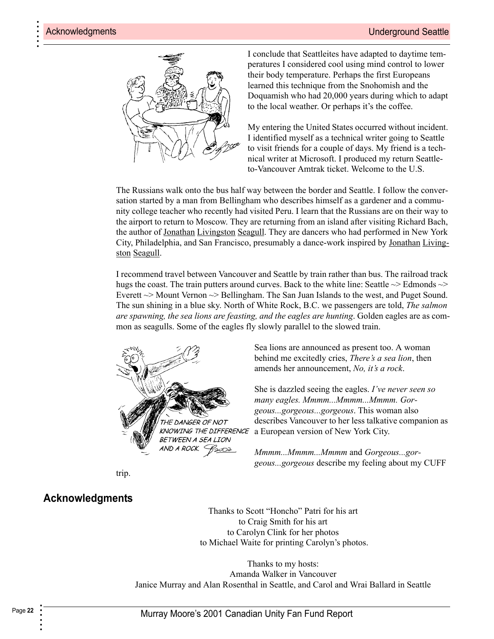

I conclude that Seattleites have adapted to daytime temperatures I considered cool using mind control to lower their body temperature. Perhaps the first Europeans learned this technique from the Snohomish and the Doquamish who had 20,000 years during which to adapt to the local weather. Or perhaps it's the coffee.

<span id="page-21-9"></span><span id="page-21-1"></span>My entering the United States occurred without incident. I identified myself as a technical writer going to Seattle to visit friends for a couple of days. My friend is a technical writer at Microsoft. I produced my return Seattleto-Vancouver Amtrak ticket. Welcome to the U.S.

<span id="page-21-4"></span>The Russians walk onto the bus half way between the border and Seattle. I follow the conversation started by a man from Bellingham who describes himself as a gardener and a community college teacher who recently had visited Peru. I learn that the Russians are on their way to the airport to return to Moscow. They are returning from an island after visiting Richard Bach, the author of Jonathan Livingston Seagull. They are dancers who had performed in New York City, Philadelphia, and San Francisco, presumably a dance-work inspired by Jonathan Livingston Seagull.

I recommend travel between Vancouver and Seattle by train rather than bus. The railroad track hugs the coast. The train putters around curves. Back to the white line: Seattle  $\sim$  Edmonds  $\sim$ Everett  $\sim$  Mount Vernon  $\sim$  Bellingham. The San Juan Islands to the west, and Puget Sound. The sun shining in a blue sky. North of White Rock, B.C. we passengers are told, *The salmon are spawning, the sea lions are feasting, and the eagles are hunting*. Golden eagles are as common as seagulls. Some of the eagles fly slowly parallel to the slowed train.



Sea lions are announced as present too. A woman behind me excitedly cries, *There's a sea lion*, then amends her announcement, *No, it's a rock*.

She is dazzled seeing the eagles. *I've never seen so many eagles. Mmmm...Mmmm...Mmmm. Gorgeous...gorgeous...gorgeous*. This woman also describes Vancouver to her less talkative companion as a European version of New York City.

<span id="page-21-10"></span><span id="page-21-7"></span><span id="page-21-3"></span>*Mmmm...Mmmm...Mmmm* and *Gorgeous...gorgeous...gorgeous* describe my feeling about my CUFF

trip.

### <span id="page-21-0"></span>**Acknowledgments**

<span id="page-21-12"></span><span id="page-21-11"></span><span id="page-21-8"></span><span id="page-21-5"></span><span id="page-21-2"></span>Thanks to Scott "Honcho" Patri for his art to Craig Smith for his art to Carolyn Clink for her photos to Michael Waite for printing Carolyn's photos.

<span id="page-21-6"></span>Thanks to my hosts: Amanda Walker in Vancouver Janice Murray and Alan Rosenthal in Seattle, and Carol and Wrai Ballard in Seattle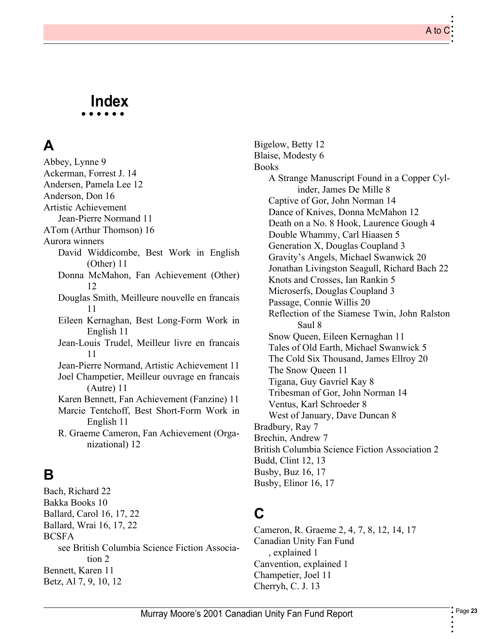### **• • • • • • Index**

## **A**

[Abbey, Lynne 9](#page-8-0) [Ackerman, Forrest J. 14](#page-13-0) [Andersen, Pamela Lee 12](#page-11-0) [Anderson, Don 16](#page-15-0) Artistic Achievement [Jean-Pierre Normand 11](#page-10-0) [ATom \(Arthur Thomson\) 16](#page-15-1) Aurora winners [David Widdicombe, Best Work in English](#page-10-1) (Other) 11 [Donna McMahon, Fan Achievement \(Other\)](#page-11-1) 12 [Douglas Smith, Meilleure nouvelle en francais](#page-10-2) 11 [Eileen Kernaghan, Best Long-Form Work in](#page-10-3) English 11 [Jean-Louis Trudel, Meilleur livre en francais](#page-10-4) 11 [Jean-Pierre Normand, Artistic Achievement 11](#page-10-5) [Joel Champetier, Meilleur ouvrage en francais](#page-10-6) (Autre) 11 [Karen Bennett, Fan Achievement \(Fanzine\) 11](#page-10-7) [Marcie Tentchoff, Best Short-Form Work in](#page-10-8) English 11 [R. Graeme Cameron, Fan Achievement \(Orga](#page-11-2)nizational) 12

## **B**

[Bach, Richard 22](#page-21-1) [Bakka Books 10](#page-9-0) [Ballard, Carol 16,](#page-15-2) [17,](#page-16-0) [22](#page-21-2) [Ballard, Wrai 16,](#page-15-3) [17,](#page-16-1) [22](#page-21-3) BCSFA [see British Columbia Science Fiction Associa](#page-1-1)tion 2 [Bennett, Karen 11](#page-10-9) [Betz, Al 7,](#page-6-0) [9,](#page-8-1) [10,](#page-9-1) [12](#page-11-3)

[Bigelow, Betty 12](#page-11-4) [Blaise, Modesty 6](#page-5-0) Books [A Strange Manuscript Found in a Copper Cyl](#page-7-0)inder, James De Mille 8 [Captive of Gor, John Norman 14](#page-13-1) [Dance of Knives, Donna McMahon 12](#page-11-5) [Death on a No. 8 Hook, Laurence Gough 4](#page-3-0) [Double Whammy, Carl Hiaasen 5](#page-4-0) [Generation X, Douglas Coupland 3](#page-2-0) [Gravity's Angels, Michael Swanwick 20](#page-19-0) [Jonathan Livingston Seagull, Richard Bach 22](#page-21-4) [Knots and Crosses, Ian Rankin 5](#page-4-1) [Microserfs, Douglas Coupland 3](#page-2-1) [Passage, Connie Willis 20](#page-19-1) [Reflection of the Siamese Twin, John Ralston](#page-7-1) Saul 8 [Snow Queen, Eileen Kernaghan 11](#page-10-10) [Tales of Old Earth, Michael Swanwick 5](#page-4-2) [The Cold Six Thousand, James Ellroy 20](#page-19-2) [The Snow Queen 11](#page-10-10) [Tigana, Guy Gavriel Kay 8](#page-7-2) [Tribesman of Gor, John Norman 14](#page-13-2) [Ventus, Karl Schroeder 8](#page-7-3) [West of January, Dave Duncan 8](#page-7-4) [Bradbury, Ray 7](#page-6-1) [Brechin, Andrew 7](#page-6-2) [British Columbia Science Fiction Association 2](#page-1-2) [Budd, Clint 12,](#page-11-6) [13](#page-12-0) [Busby, Buz 16,](#page-15-4) [17](#page-16-2) [Busby, Elinor 16,](#page-15-5) [17](#page-16-3)

## **C**

[Cameron, R. Graeme 2,](#page-1-3) [4,](#page-3-1) [7,](#page-6-3) [8,](#page-7-5) [12,](#page-11-7) [14,](#page-13-3) [17](#page-16-4) Canadian Unity Fan Fund [, explained 1](#page-0-0) [Canvention, explained 1](#page-0-1) [Champetier, Joel 11](#page-10-11) [Cherryh, C. J. 13](#page-12-1)

• • • •

A to C

• • • • • •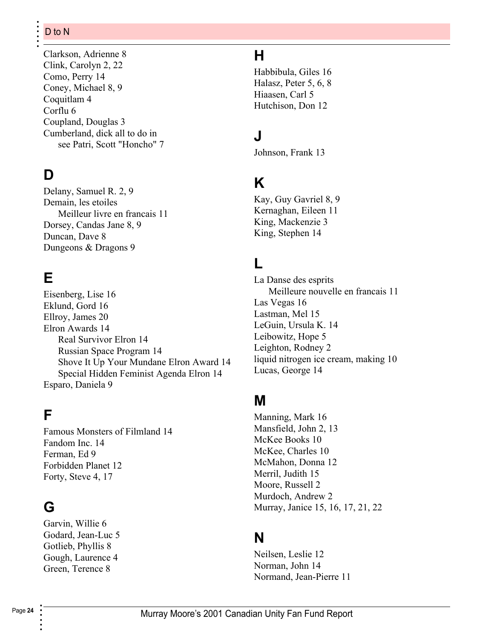[Clarkson, Adrienne 8](#page-7-6) [Clink, Carolyn 2,](#page-1-4) [22](#page-21-5) [Como, Perry 14](#page-13-4) [Coney, Michael 8,](#page-7-7) [9](#page-8-2) [Coquitlam 4](#page-3-2) [Corflu 6](#page-5-1) [Coupland, Douglas 3](#page-2-2) Cumberland, dick all to do in [see Patri, Scott "Honcho" 7](#page-6-4)

## **D**

[Delany, Samuel R. 2,](#page-1-5) [9](#page-8-3) Demain, les etoiles [Meilleur livre en francais 11](#page-10-12) [Dorsey, Candas Jane 8,](#page-7-8) [9](#page-8-4) [Duncan, Dave 8](#page-7-9) [Dungeons & Dragons 9](#page-8-5)

## **E**

[Eisenberg, Lise 16](#page-15-6) [Eklund, Gord 16](#page-15-7) [Ellroy, James 20](#page-19-3) [Elron Awards 14](#page-13-5) [Real Survivor Elron 14](#page-13-6) [Russian Space Program 14](#page-13-7) [Shove It Up Your Mundane Elron Award 14](#page-13-8) [Special Hidden Feminist Agenda Elron 14](#page-13-9) [Esparo, Daniela 9](#page-8-6)

## **F**

[Famous Monsters of Filmland 14](#page-13-10) [Fandom Inc. 14](#page-13-11) [Ferman, Ed 9](#page-8-7) [Forbidden Planet 12](#page-11-8) [Forty, Steve 4,](#page-3-3) [17](#page-16-5)

## **G**

[Garvin, Willie 6](#page-5-2) [Godard, Jean-Luc 5](#page-4-3) [Gotlieb, Phyllis 8](#page-7-10) [Gough, Laurence 4](#page-3-4) [Green, Terence 8](#page-7-11)

## **H**

[Habbibula, Giles 16](#page-15-8) [Halasz, Peter 5,](#page-4-4) [6,](#page-5-3) [8](#page-7-12) [Hiaasen, Carl 5](#page-4-5) [Hutchison, Don 12](#page-11-9)

## **J**

[Johnson, Frank 13](#page-12-2)

## **K**

[Kay, Guy Gavriel 8,](#page-7-13) [9](#page-8-8) [Kernaghan, Eileen 11](#page-10-13) [King, Mackenzie 3](#page-2-3) [King, Stephen 14](#page-13-12)

## **L**

La Danse des esprits [Meilleure nouvelle en francais 11](#page-10-14) [Las Vegas 16](#page-15-9) [Lastman, Mel 15](#page-14-0) [LeGuin, Ursula K. 14](#page-13-13) [Leibowitz, Hope 5](#page-4-6) [Leighton, Rodney 2](#page-1-6) [liquid nitrogen ice cream, making 10](#page-9-2) [Lucas, George 14](#page-13-14)

## **M**

[Manning, Mark 16](#page-15-10) [Mansfield, John 2,](#page-1-7) [13](#page-12-3) [McKee Books 10](#page-9-3) [McKee, Charles 10](#page-9-4) [McMahon, Donna 12](#page-11-10) [Merril, Judith 15](#page-14-1) [Moore, Russell 2](#page-1-8) [Murdoch, Andrew 2](#page-1-9) [Murray, Janice 15,](#page-14-2) [16,](#page-15-11) [17,](#page-16-6) [21,](#page-20-0) [22](#page-21-6)

## **N**

[Neilsen, Leslie 12](#page-11-11) [Norman, John 14](#page-13-15) [Normand, Jean-Pierre 11](#page-10-15)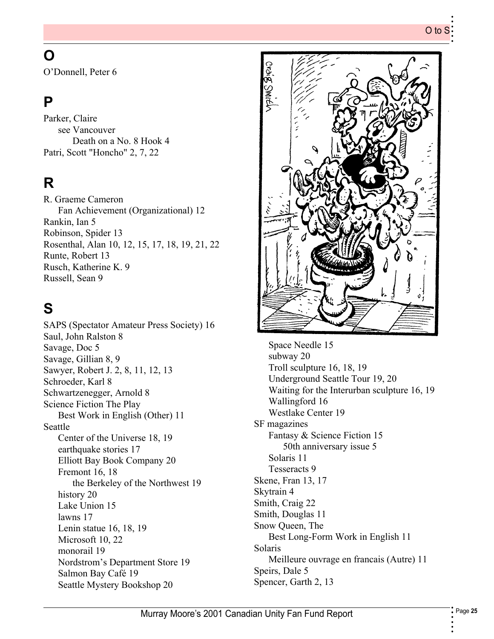•

•

## **O**

[O'Donnell, Peter 6](#page-5-4)

## **P**

Parker, Claire see Vancouver [Death on a No. 8 Hook 4](#page-3-5) [Patri, Scott "Honcho" 2,](#page-1-10) [7,](#page-6-5) [22](#page-21-7)

## **R**

R. Graeme Cameron [Fan Achievement \(Organizational\) 12](#page-11-12) [Rankin, Ian 5](#page-4-7) [Robinson, Spider 13](#page-12-4) [Rosenthal, Alan 10,](#page-9-5) [12,](#page-11-13) [15,](#page-14-3) [17,](#page-16-7) [18,](#page-17-0) [19,](#page-18-0) [21,](#page-20-1) [22](#page-21-8) [Runte, Robert 13](#page-12-5) [Rusch, Katherine K. 9](#page-8-9) [Russell, Sean 9](#page-8-10)

## **S**

[SAPS \(Spectator Amateur Press Society\) 16](#page-15-12) [Saul, John Ralston 8](#page-7-14) [Savage, Doc 5](#page-4-8) [Savage, Gillian 8,](#page-7-15) [9](#page-8-11) [Sawyer, Robert J. 2,](#page-1-11) [8,](#page-7-16) [11,](#page-10-16) [12,](#page-11-14) [13](#page-12-6) [Schroeder, Karl 8](#page-7-17) [Schwartzenegger, Arnold 8](#page-7-18) Science Fiction The Play [Best Work in English \(Other\) 11](#page-10-17) Seattle [Center of the Universe 18,](#page-17-1) [19](#page-18-1) [earthquake stories 17](#page-16-8) [Elliott Bay Book Company 20](#page-19-4) [Fremont 16,](#page-15-13) [18](#page-17-2) [the Berkeley of the Northwest 19](#page-18-2) [history 20](#page-19-5) [Lake Union 15](#page-14-4) [lawns 17](#page-16-9) [Lenin statue 16,](#page-15-14) [18,](#page-17-3) [19](#page-18-3) [Microsoft 10,](#page-9-6) [22](#page-21-9) [monorail 19](#page-18-4) [Nordstrom's Department Store 19](#page-18-5) [Salmon Bay Café 19](#page-18-6) [Seattle Mystery Bookshop 20](#page-19-6)

![](_page_24_Picture_9.jpeg)

[Space Needle 15](#page-14-5) [subway 20](#page-19-7) [Troll sculpture 16,](#page-15-15) [18,](#page-17-4) [19](#page-18-7) [Underground Seattle Tour 19,](#page-18-8) [20](#page-19-8) [Waiting for the Interurban sculpture 16,](#page-15-16) [19](#page-18-9) [Wallingford 16](#page-15-17) [Westlake Center 19](#page-18-10) SF magazines [Fantasy & Science Fiction 15](#page-14-6) [50th anniversary issue 5](#page-4-9) [Solaris 11](#page-10-18) [Tesseracts 9](#page-8-12) [Skene, Fran 13,](#page-12-7) [17](#page-16-10) [Skytrain 4](#page-3-6) [Smith, Craig 22](#page-21-10) [Smith, Douglas 11](#page-10-19) Snow Queen, The [Best Long-Form Work in English 11](#page-10-20) Solaris [Meilleure ouvrage en francais \(Autre\) 11](#page-10-21) [Speirs, Dale 5](#page-4-10) [Spencer, Garth 2,](#page-1-12) [13](#page-12-8)